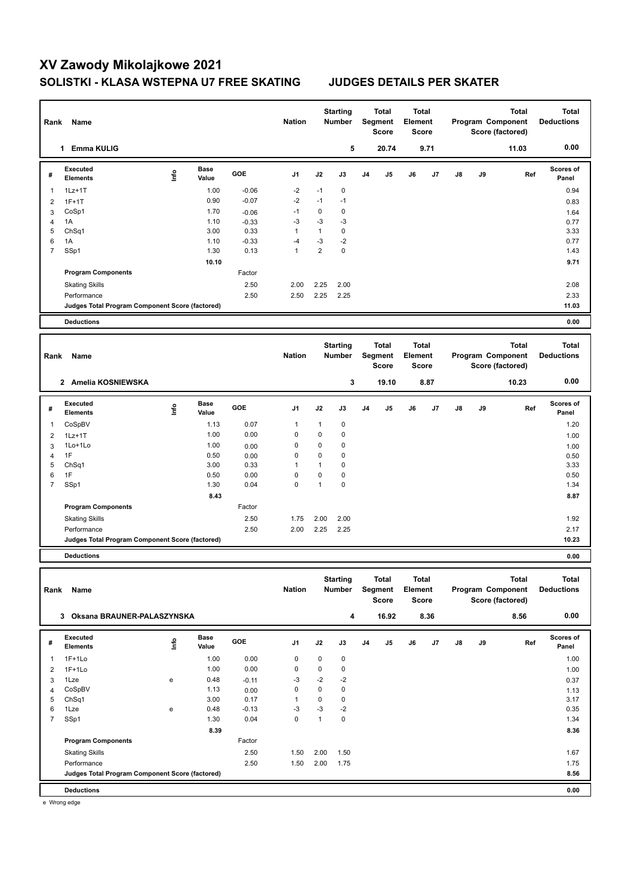## **XV Zawody Mikolajkowe 2021 SOLISTKI - KLASA WSTEPNA U7 FREE SKATING JUDGES DETAILS PER SKATER**

| Rank                         | Name                                            |      |               |               | <b>Nation</b>   |                 | <b>Starting</b><br>Number | Total<br>Segment<br><b>Score</b> |                  | Total<br>Element<br><b>Score</b> |              | Program Component<br>Score (factored) |                                       | <b>Total</b>      | Total<br><b>Deductions</b> |
|------------------------------|-------------------------------------------------|------|---------------|---------------|-----------------|-----------------|---------------------------|----------------------------------|------------------|----------------------------------|--------------|---------------------------------------|---------------------------------------|-------------------|----------------------------|
|                              | 1 Emma KULIG                                    |      |               |               |                 |                 | 5                         |                                  | 20.74            |                                  | 9.71         |                                       |                                       | 11.03             | 0.00                       |
| #                            | Executed<br><b>Elements</b>                     | ١nf٥ | Base<br>Value | GOE           | J1              | J2              | J3                        | J4                               | J5               | J6                               | J7           | J8                                    | J9                                    | Ref               | <b>Scores of</b><br>Panel  |
| -1                           | $1Lz+1T$                                        |      | 1.00          | $-0.06$       | $-2$            | $-1$            | 0                         |                                  |                  |                                  |              |                                       |                                       |                   | 0.94                       |
| $\overline{2}$               | $1F+1T$                                         |      | 0.90          | $-0.07$       | $-2$            | $-1$            | $-1$                      |                                  |                  |                                  |              |                                       |                                       |                   | 0.83                       |
| 3                            | CoSp1                                           |      | 1.70          | $-0.06$       | $-1$            | $\mathbf 0$     | 0                         |                                  |                  |                                  |              |                                       |                                       |                   | 1.64                       |
| $\overline{4}$               | 1A                                              |      | 1.10          | $-0.33$       | $-3$            | -3              | $-3$                      |                                  |                  |                                  |              |                                       |                                       |                   | 0.77                       |
| 5                            | Ch <sub>Sq1</sub>                               |      | 3.00          | 0.33          | $\mathbf{1}$    | $\mathbf{1}$    | 0                         |                                  |                  |                                  |              |                                       |                                       |                   | 3.33                       |
| 6                            | 1A                                              |      | 1.10          | $-0.33$       | $-4$            | $-3$            | $-2$                      |                                  |                  |                                  |              |                                       |                                       |                   | 0.77                       |
| 7                            | SSp1                                            |      | 1.30          | 0.13          | $\mathbf{1}$    | $\overline{2}$  | $\mathbf 0$               |                                  |                  |                                  |              |                                       |                                       |                   | 1.43                       |
|                              |                                                 |      | 10.10         |               |                 |                 |                           |                                  |                  |                                  |              |                                       |                                       |                   | 9.71                       |
|                              | <b>Program Components</b>                       |      |               | Factor        |                 |                 |                           |                                  |                  |                                  |              |                                       |                                       |                   |                            |
|                              | <b>Skating Skills</b>                           |      |               | 2.50          | 2.00            | 2.25            | 2.00                      |                                  |                  |                                  |              |                                       |                                       |                   | 2.08                       |
|                              | Performance                                     |      |               | 2.50          | 2.50            | 2.25            | 2.25                      |                                  |                  |                                  |              |                                       |                                       |                   | 2.33                       |
|                              | Judges Total Program Component Score (factored) |      |               |               |                 |                 |                           |                                  |                  |                                  |              |                                       |                                       |                   | 11.03                      |
|                              | <b>Deductions</b>                               |      |               |               |                 |                 |                           |                                  |                  |                                  |              |                                       |                                       |                   | 0.00                       |
|                              |                                                 |      |               |               | <b>Starting</b> |                 | Total                     |                                  | <b>Total</b>     |                                  | <b>Total</b> |                                       |                                       | <b>Total</b>      |                            |
| Name<br>Rank                 |                                                 |      |               |               | <b>Nation</b>   |                 | <b>Number</b>             | Segment<br><b>Score</b>          |                  | Element<br><b>Score</b>          |              | Program Component<br>Score (factored) |                                       |                   | <b>Deductions</b>          |
|                              | 2 Amelia KOSNIEWSKA                             |      |               |               |                 |                 | 3                         |                                  | 19.10            |                                  | 8.87         |                                       |                                       | 10.23             | 0.00                       |
|                              | Executed                                        |      | Base          | GOE           |                 |                 | J3                        | J4                               |                  |                                  |              | J8                                    |                                       |                   | <b>Scores of</b>           |
| #                            | <b>Elements</b>                                 | lnfo | Value         |               | J1              | J2              |                           |                                  | J5               | J6                               | J7           |                                       | J9                                    | Ref               | Panel                      |
| -1                           | CoSpBV                                          |      | 1.13          | 0.07          | 1               | $\mathbf{1}$    | 0                         |                                  |                  |                                  |              |                                       |                                       |                   | 1.20                       |
| 2                            | $1Lz+1T$                                        |      | 1.00          | 0.00          | 0               | $\mathbf 0$     | 0                         |                                  |                  |                                  |              |                                       |                                       |                   | 1.00                       |
| 3                            | 1Lo+1Lo                                         |      | 1.00          | 0.00          | 0               | $\mathbf 0$     | 0                         |                                  |                  |                                  |              |                                       |                                       |                   | 1.00                       |
| 4                            | 1F                                              |      | 0.50          | 0.00          | 0               | $\mathbf 0$     | 0                         |                                  |                  |                                  |              |                                       |                                       |                   | 0.50                       |
| 5                            | Ch <sub>Sq1</sub>                               |      | 3.00          | 0.33          | 1               | $\mathbf{1}$    | 0                         |                                  |                  |                                  |              |                                       |                                       |                   | 3.33                       |
| 6                            | 1F                                              |      | 0.50          | 0.00          | $\mathbf 0$     | $\mathbf 0$     | 0                         |                                  |                  |                                  |              |                                       |                                       |                   | 0.50                       |
| $\overline{7}$               | SSp1                                            |      | 1.30          | 0.04          | $\mathbf 0$     | $\mathbf{1}$    | 0                         |                                  |                  |                                  |              |                                       |                                       |                   | 1.34                       |
|                              |                                                 |      | 8.43          |               |                 |                 |                           |                                  |                  |                                  |              |                                       |                                       |                   | 8.87                       |
|                              | <b>Program Components</b>                       |      |               | Factor        |                 |                 |                           |                                  |                  |                                  |              |                                       |                                       |                   |                            |
|                              | <b>Skating Skills</b>                           |      |               | 2.50          | 1.75            | 2.00            | 2.00                      |                                  |                  |                                  |              |                                       |                                       |                   | 1.92                       |
|                              | Performance                                     |      |               | 2.50          | 2.00            | 2.25            | 2.25                      |                                  |                  |                                  |              |                                       |                                       |                   | 2.17                       |
|                              | Judges Total Program Component Score (factored) |      |               |               |                 |                 |                           |                                  |                  |                                  |              |                                       |                                       |                   | 10.23                      |
|                              | <b>Deductions</b>                               |      |               |               |                 |                 |                           |                                  |                  |                                  |              |                                       |                                       |                   | 0.00                       |
|                              |                                                 |      |               |               |                 |                 |                           |                                  |                  |                                  |              |                                       |                                       |                   |                            |
|                              |                                                 |      |               |               |                 | <b>Starting</b> |                           | Total                            |                  | Total                            |              |                                       |                                       | Total             | <b>Total</b>               |
|                              | Rank Name                                       |      |               | <b>Nation</b> | Number          |                 | Segment<br>Score          |                                  | Element<br>Score |                                  |              |                                       | Program Component<br>Score (factored) | <b>Deductions</b> |                            |
|                              |                                                 |      |               |               |                 |                 |                           |                                  |                  |                                  |              |                                       |                                       |                   |                            |
| 3 Oksana BRAUNER-PALASZYNSKA |                                                 |      |               |               |                 |                 | 4                         |                                  | 16.92            |                                  | 8.36         |                                       |                                       | 8.56              | 0.00                       |
| #                            | Executed                                        |      | <b>Base</b>   | GOE           | J1              | J2              | $\mathsf{J3}$             | J4                               | J5               | J6                               | J7           | J8                                    | J9                                    | Ref               | Scores of                  |
|                              | <b>Elements</b>                                 | lnfo | Value         |               |                 |                 |                           |                                  |                  |                                  |              |                                       |                                       |                   | Panel                      |
| $\mathbf{1}$                 | $1F+1Lo$                                        |      | 1.00          | 0.00          | 0               | 0               | 0                         |                                  |                  |                                  |              |                                       |                                       |                   | 1.00                       |
| $\overline{2}$               | $1F+1Lo$                                        |      | 1.00          | 0.00          | 0               | $\pmb{0}$       | $\pmb{0}$                 |                                  |                  |                                  |              |                                       |                                       |                   | 1.00                       |
| 3                            | 1Lze                                            | e    | 0.48          | $-0.11$       | -3              | -2              | -2                        |                                  |                  |                                  |              |                                       |                                       |                   | 0.37                       |
| 4                            | CoSpBV                                          |      | 1.13          | 0.00          | 0               | 0               | 0                         |                                  |                  |                                  |              |                                       |                                       |                   | 1.13                       |
| 5                            | ChSq1                                           |      | 3.00          | 0.17          | 1               | $\pmb{0}$       | 0                         |                                  |                  |                                  |              |                                       |                                       |                   | 3.17                       |
| 6                            | 1Lze                                            | e    | 0.48          | $-0.13$       | -3              | -3              | $-2$                      |                                  |                  |                                  |              |                                       |                                       |                   | 0.35                       |
| $\overline{7}$               | SSp1                                            |      | 1.30          | 0.04          | $\mathbf 0$     | $\mathbf{1}$    | 0                         |                                  |                  |                                  |              |                                       |                                       |                   | 1.34                       |
|                              |                                                 |      | 8.39          |               |                 |                 |                           |                                  |                  |                                  |              |                                       |                                       |                   | 8.36                       |
|                              | <b>Program Components</b>                       |      |               | Factor        |                 |                 |                           |                                  |                  |                                  |              |                                       |                                       |                   |                            |
|                              | <b>Skating Skills</b>                           |      |               | 2.50          | 1.50            | 2.00            | 1.50                      |                                  |                  |                                  |              |                                       |                                       |                   | 1.67                       |
|                              | Performance                                     |      |               | 2.50          | 1.50            | 2.00            | 1.75                      |                                  |                  |                                  |              |                                       |                                       |                   | 1.75                       |
|                              | Judges Total Program Component Score (factored) |      |               |               |                 |                 |                           |                                  |                  |                                  |              |                                       |                                       |                   | 8.56                       |
|                              |                                                 |      |               |               |                 |                 |                           |                                  |                  |                                  |              |                                       |                                       |                   |                            |
|                              | <b>Deductions</b>                               |      |               |               |                 |                 |                           |                                  |                  |                                  |              |                                       |                                       |                   | 0.00                       |

e Wrong edge